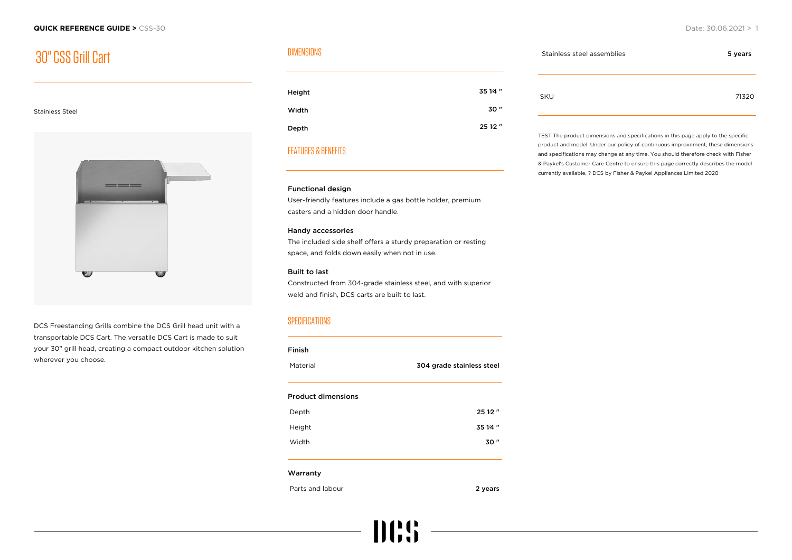## 30" CSS Grill Cart

#### Stainless Steel



DCS Freestanding Grills combine the DCS Grill head unit with a transportable DCS Cart. The versatile DCS Cart is made to suit your 30" grill head, creating a compact outdoor kitchen solution wherever you choose.

#### DIMENSIONS

| Height | 35 1⁄4 " |
|--------|----------|
| Width  | 30"      |
| Depth  | 25 12"   |

### FEATURES & BENEFITS

#### Functional design

User-friendly features include a gas bottle holder, premium casters and a hidden door handle.

#### Handy accessories

The included side shelf offers a sturdy preparation or resting space, and folds down easily when not in use.

#### Built to last

Constructed from 304-grade stainless steel, and with superior weld and finish, DCS carts are built to last.

#### **SPECIFICATIONS**

| Material                  | 304 grade stainless steel |
|---------------------------|---------------------------|
|                           |                           |
| <b>Product dimensions</b> |                           |
| Depth                     | 25 12"                    |
| Height                    | 35 14"                    |
| Width                     | 30"                       |
| Warranty                  |                           |
| Parts and labour          | 2 years                   |

**IIII:S** 

# Stainless steel assemblies 6 years 5 years 5 years SKU 71320

TEST The product dimensions and specifications in this page apply to the specific product and model. Under our policy of continuous improvement, these dimensions and specifications may change at any time. You should therefore check with Fisher & Paykel's Customer Care Centre to ensure this page correctly describes the model currently available. ? DCS by Fisher & Paykel Appliances Limited 2020